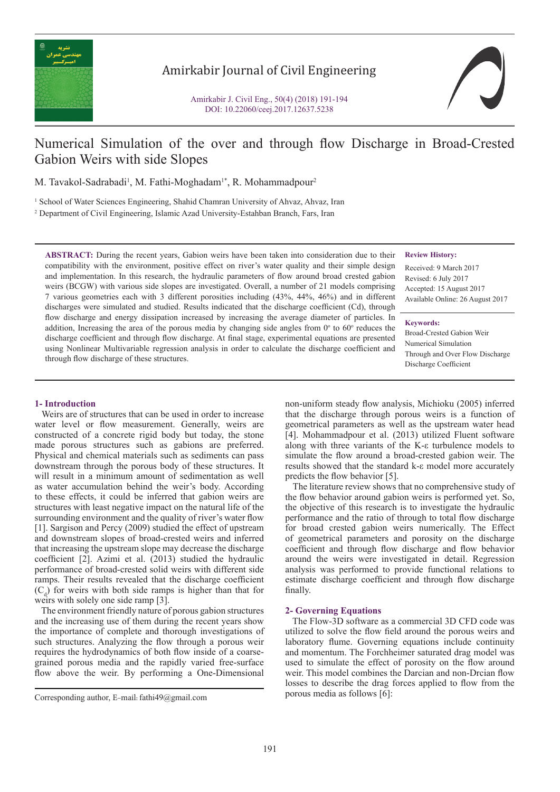

# Amirkabir Journal of Civil Engineering



# Numerical Simulation of the over and through flow Discharge in Broad-Crested Gabion Weirs with side Slopes

M. Tavakol-Sadrabadi<sup>1</sup>, M. Fathi-Moghadam<sup>1\*</sup>, R. Mohammadpour<sup>2</sup>

<sup>1</sup> School of Water Sciences Engineering, Shahid Chamran University of Ahvaz, Ahvaz, Iran

2 Department of Civil Engineering, Islamic Azad University-Estahban Branch, Fars, Iran

**ABSTRACT:** During the recent years, Gabion weirs have been taken into consideration due to their compatibility with the environment, positive effect on river's water quality and their simple design and implementation. In this research, the hydraulic parameters of flow around broad crested gabion weirs (BCGW) with various side slopes are investigated. Overall, a number of 21 models comprising 7 various geometries each with 3 different porosities including (43%, 44%, 46%) and in different discharges were simulated and studied. Results indicated that the discharge coefficient (Cd), through flow discharge and energy dissipation increased by increasing the average diameter of particles. In addition, Increasing the area of the porous media by changing side angles from  $0^\circ$  to  $60^\circ$  reduces the discharge coefficient and through flow discharge. At final stage, experimental equations are presented using Nonlinear Multivariable regression analysis in order to calculate the discharge coefficient and through flow discharge of these structures.

### **Review History:**

Received: 9 March 2017 Revised: 6 July 2017 Accepted: 15 August 2017 Available Online: 26 August 2017

#### **Keywords:**

Broad-Crested Gabion Weir Numerical Simulation Through and Over Flow Discharge Discharge Coefficient

# **1- Introduction**

 Weirs are of structures that can be used in order to increase water level or flow measurement. Generally, weirs are constructed of a concrete rigid body but today, the stone made porous structures such as gabions are preferred. Physical and chemical materials such as sediments can pass downstream through the porous body of these structures. It will result in a minimum amount of sedimentation as well as water accumulation behind the weir's body. According to these effects, it could be inferred that gabion weirs are structures with least negative impact on the natural life of the surrounding environment and the quality of river's water flow [1]. Sargison and Percy (2009) studied the effect of upstream and downstream slopes of broad-crested weirs and inferred that increasing the upstream slope may decrease the discharge coefficient [2]. Azimi et al. (2013) studied the hydraulic performance of broad-crested solid weirs with different side ramps. Their results revealed that the discharge coefficient  $(C_d)$  for weirs with both side ramps is higher than that for weirs with solely one side ramp [3].

 The environment friendly nature of porous gabion structures and the increasing use of them during the recent years show the importance of complete and thorough investigations of such structures. Analyzing the flow through a porous weir requires the hydrodynamics of both flow inside of a coarsegrained porous media and the rapidly varied free-surface flow above the weir. By performing a One-Dimensional

non-uniform steady flow analysis, Michioku (2005) inferred that the discharge through porous weirs is a function of geometrical parameters as well as the upstream water head [4]. Mohammadpour et al. (2013) utilized Fluent software along with three variants of the K-ε turbulence models to simulate the flow around a broad-crested gabion weir. The results showed that the standard k-ε model more accurately predicts the flow behavior [5].

 The literature review shows that no comprehensive study of the flow behavior around gabion weirs is performed yet. So, the objective of this research is to investigate the hydraulic performance and the ratio of through to total flow discharge for broad crested gabion weirs numerically. The Effect of geometrical parameters and porosity on the discharge coefficient and through flow discharge and flow behavior around the weirs were investigated in detail. Regression analysis was performed to provide functional relations to estimate discharge coefficient and through flow discharge finally.

# **2- Governing Equations**

 The Flow-3D software as a commercial 3D CFD code was utilized to solve the flow field around the porous weirs and laboratory flume. Governing equations include continuity and momentum. The Forchheimer saturated drag model was used to simulate the effect of porosity on the flow around weir. This model combines the Darcian and non-Drcian flow losses to describe the drag forces applied to flow from the

porous media as follows [6]: Corresponding author, E-mail: fathi49@gmail.com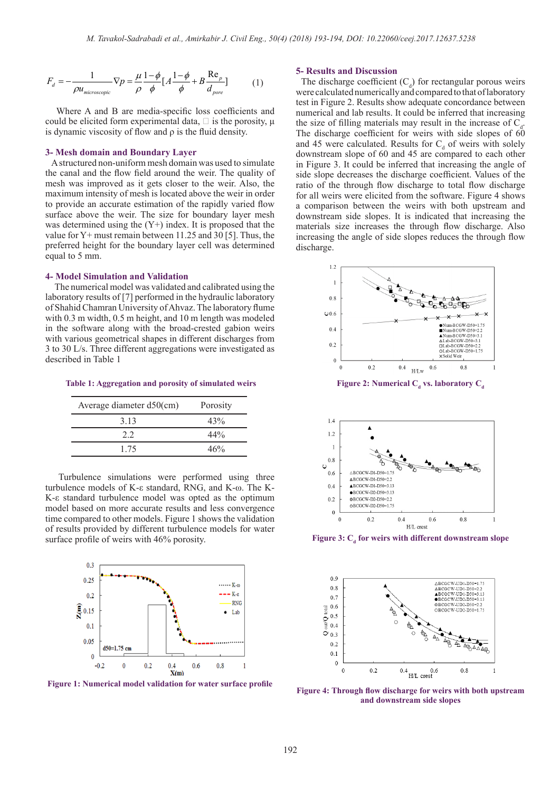$$
F_d = -\frac{1}{\rho u_{microscopic}} \nabla p = \frac{\mu}{\rho} \frac{1 - \phi}{\phi} \left[ A \frac{1 - \phi}{\phi} + B \frac{\text{Re}_p}{d_{pore}} \right] \tag{1}
$$

 Where A and B are media-specific loss coefficients and could be elicited form experimental data,  $\Box$  is the porosity, μ is dynamic viscosity of flow and ρ is the fluid density.

#### **3- Mesh domain and Boundary Layer**

 A structured non-uniform mesh domain was used to simulate the canal and the flow field around the weir. The quality of mesh was improved as it gets closer to the weir. Also, the maximum intensity of mesh is located above the weir in order to provide an accurate estimation of the rapidly varied flow surface above the weir. The size for boundary layer mesh was determined using the  $(Y+)$  index. It is proposed that the value for Y+ must remain between 11.25 and 30 [5]. Thus, the preferred height for the boundary layer cell was determined equal to 5 mm.

#### **4- Model Simulation and Validation**

 The numerical model was validated and calibrated using the laboratory results of [7] performed in the hydraulic laboratory of Shahid Chamran University of Ahvaz. The laboratory flume with 0.3 m width, 0.5 m height, and 10 m length was modeled in the software along with the broad-crested gabion weirs with various geometrical shapes in different discharges from 3 to 30 L/s. Three different aggregations were investigated as described in Table 1

 **Table 1: Aggregation and porosity of simulated weirs**

| Average diameter $d50$ (cm) | Porosity |
|-----------------------------|----------|
| 3 1 3                       | 43%      |
| 22                          | $44\%$   |
| 1 75                        | 46%      |

 Turbulence simulations were performed using three turbulence models of K-ε standard, RNG, and K-ω. The K-K-ε standard turbulence model was opted as the optimum model based on more accurate results and less convergence time compared to other models. Figure 1 shows the validation of results provided by different turbulence models for water surface profile of weirs with 46% porosity.



**Figure 1: Numerical model validation for water surface profile**

### **5- Results and Discussion**

The discharge coefficient  $(C_d)$  for rectangular porous weirs were calculated numerically and compared to that of laboratory test in Figure 2. Results show adequate concordance between numerical and lab results. It could be inferred that increasing the size of filling materials may result in the increase of  $C_d$ . The discharge coefficient for weirs with side slopes of  $60$ and 45 were calculated. Results for  $C_d$  of weirs with solely downstream slope of 60 and 45 are compared to each other in Figure 3. It could be inferred that increasing the angle of side slope decreases the discharge coefficient. Values of the ratio of the through flow discharge to total flow discharge for all weirs were elicited from the software. Figure 4 shows a comparison between the weirs with both upstream and downstream side slopes. It is indicated that increasing the materials size increases the through flow discharge. Also increasing the angle of side slopes reduces the through flow discharge.



**Figure 2: Numerical C<sub>d</sub> vs. laboratory C<sub>d</sub>** 



Figure 3: C<sub>d</sub> for weirs with different downstream slope



**Figure 4: Through flow discharge for weirs with both upstream and downstream side slopes**